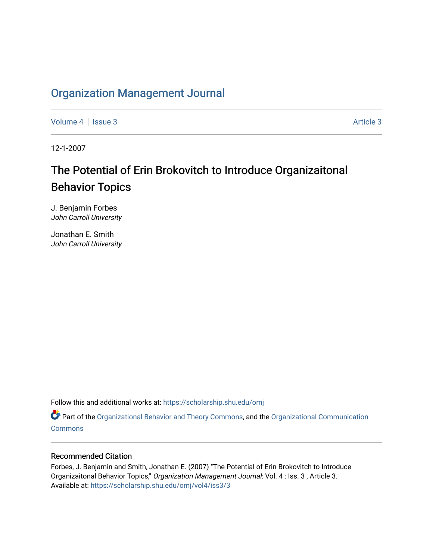# [Organization Management Journal](https://scholarship.shu.edu/omj)

[Volume 4](https://scholarship.shu.edu/omj/vol4) | [Issue 3](https://scholarship.shu.edu/omj/vol4/iss3) Article 3

12-1-2007

# The Potential of Erin Brokovitch to Introduce Organizaitonal Behavior Topics

J. Benjamin Forbes John Carroll University

Jonathan E. Smith John Carroll University

Follow this and additional works at: [https://scholarship.shu.edu/omj](https://scholarship.shu.edu/omj?utm_source=scholarship.shu.edu%2Fomj%2Fvol4%2Fiss3%2F3&utm_medium=PDF&utm_campaign=PDFCoverPages) 

Part of the [Organizational Behavior and Theory Commons,](http://network.bepress.com/hgg/discipline/639?utm_source=scholarship.shu.edu%2Fomj%2Fvol4%2Fiss3%2F3&utm_medium=PDF&utm_campaign=PDFCoverPages) and the [Organizational Communication](http://network.bepress.com/hgg/discipline/335?utm_source=scholarship.shu.edu%2Fomj%2Fvol4%2Fiss3%2F3&utm_medium=PDF&utm_campaign=PDFCoverPages) **[Commons](http://network.bepress.com/hgg/discipline/335?utm_source=scholarship.shu.edu%2Fomj%2Fvol4%2Fiss3%2F3&utm_medium=PDF&utm_campaign=PDFCoverPages)** 

#### Recommended Citation

Forbes, J. Benjamin and Smith, Jonathan E. (2007) "The Potential of Erin Brokovitch to Introduce Organizaitonal Behavior Topics," Organization Management Journal: Vol. 4 : Iss. 3 , Article 3. Available at: [https://scholarship.shu.edu/omj/vol4/iss3/3](https://scholarship.shu.edu/omj/vol4/iss3/3?utm_source=scholarship.shu.edu%2Fomj%2Fvol4%2Fiss3%2F3&utm_medium=PDF&utm_campaign=PDFCoverPages)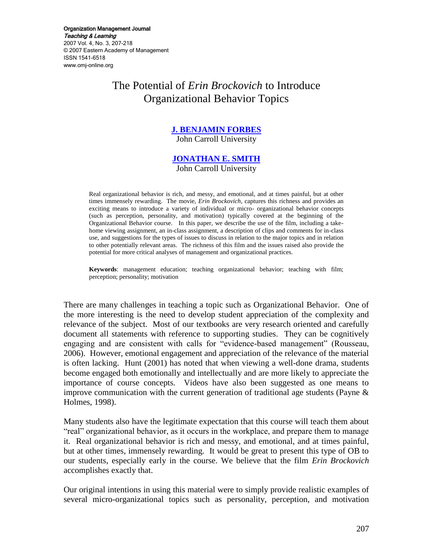Organization Management Journal Teaching & Learning 2007 Vol. 4, No. 3, 207-218 © 2007 Eastern Academy of Management ISSN 1541-6518 www.omj-online.org

# The Potential of *Erin Brockovich* to Introduce Organizational Behavior Topics

# **[J. BENJAMIN FORBES](mailto:forbes@jcu.edu)**

John Carroll University

#### **[JONATHAN E. SMITH](mailto:jsmith@jcu.edu)** John Carroll University

Real organizational behavior is rich, and messy, and emotional, and at times painful, but at other times immensely rewarding. The movie, *Erin Brockovich,* captures this richness and provides an exciting means to introduce a variety of individual or micro- organizational behavior concepts (such as perception, personality, and motivation) typically covered at the beginning of the Organizational Behavior course. In this paper, we describe the use of the film, including a takehome viewing assignment, an in-class assignment, a description of clips and comments for in-class use, and suggestions for the types of issues to discuss in relation to the major topics and in relation to other potentially relevant areas. The richness of this film and the issues raised also provide the potential for more critical analyses of management and organizational practices.

**Keywords**: management education; teaching organizational behavior; teaching with film; perception; personality; motivation

There are many challenges in teaching a topic such as Organizational Behavior. One of the more interesting is the need to develop student appreciation of the complexity and relevance of the subject. Most of our textbooks are very research oriented and carefully document all statements with reference to supporting studies. They can be cognitively engaging and are consistent with calls for "evidence-based management" (Rousseau, 2006). However, emotional engagement and appreciation of the relevance of the material is often lacking. Hunt (2001) has noted that when viewing a well-done drama, students become engaged both emotionally and intellectually and are more likely to appreciate the importance of course concepts. Videos have also been suggested as one means to improve communication with the current generation of traditional age students (Payne & Holmes, 1998).

Many students also have the legitimate expectation that this course will teach them about "real" organizational behavior, as it occurs in the workplace, and prepare them to manage it. Real organizational behavior is rich and messy, and emotional, and at times painful, but at other times, immensely rewarding. It would be great to present this type of OB to our students, especially early in the course. We believe that the film *Erin Brockovich*  accomplishes exactly that.

Our original intentions in using this material were to simply provide realistic examples of several micro-organizational topics such as personality, perception, and motivation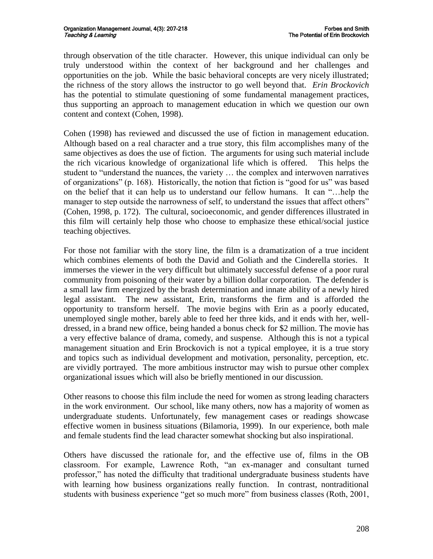through observation of the title character. However, this unique individual can only be truly understood within the context of her background and her challenges and opportunities on the job. While the basic behavioral concepts are very nicely illustrated; the richness of the story allows the instructor to go well beyond that. *Erin Brockovich*  has the potential to stimulate questioning of some fundamental management practices, thus supporting an approach to management education in which we question our own content and context (Cohen, 1998).

Cohen (1998) has reviewed and discussed the use of fiction in management education. Although based on a real character and a true story, this film accomplishes many of the same objectives as does the use of fiction. The arguments for using such material include the rich vicarious knowledge of organizational life which is offered. This helps the student to "understand the nuances, the variety … the complex and interwoven narratives of organizations" (p. 168). Historically, the notion that fiction is "good for us" was based on the belief that it can help us to understand our fellow humans. It can "…help the manager to step outside the narrowness of self, to understand the issues that affect others" (Cohen, 1998, p. 172). The cultural, socioeconomic, and gender differences illustrated in this film will certainly help those who choose to emphasize these ethical/social justice teaching objectives.

For those not familiar with the story line, the film is a dramatization of a true incident which combines elements of both the David and Goliath and the Cinderella stories. It immerses the viewer in the very difficult but ultimately successful defense of a poor rural community from poisoning of their water by a billion dollar corporation. The defender is a small law firm energized by the brash determination and innate ability of a newly hired legal assistant. The new assistant, Erin, transforms the firm and is afforded the opportunity to transform herself. The movie begins with Erin as a poorly educated, unemployed single mother, barely able to feed her three kids, and it ends with her, welldressed, in a brand new office, being handed a bonus check for \$2 million. The movie has a very effective balance of drama, comedy, and suspense. Although this is not a typical management situation and Erin Brockovich is not a typical employee, it is a true story and topics such as individual development and motivation, personality, perception, etc. are vividly portrayed. The more ambitious instructor may wish to pursue other complex organizational issues which will also be briefly mentioned in our discussion.

Other reasons to choose this film include the need for women as strong leading characters in the work environment. Our school, like many others, now has a majority of women as undergraduate students. Unfortunately, few management cases or readings showcase effective women in business situations (Bilamoria, 1999). In our experience, both male and female students find the lead character somewhat shocking but also inspirational.

Others have discussed the rationale for, and the effective use of, films in the OB classroom. For example, Lawrence Roth, "an ex-manager and consultant turned professor," has noted the difficulty that traditional undergraduate business students have with learning how business organizations really function. In contrast, nontraditional students with business experience "get so much more" from business classes (Roth, 2001,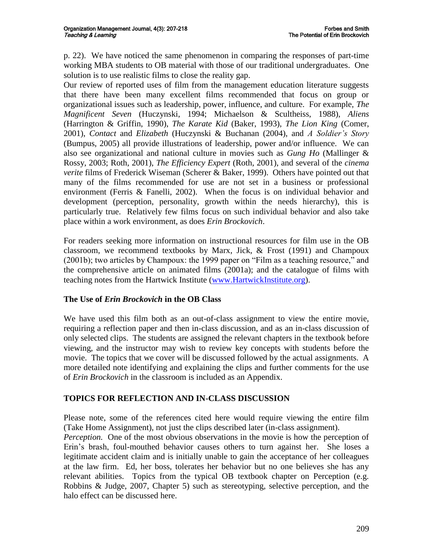p. 22). We have noticed the same phenomenon in comparing the responses of part-time working MBA students to OB material with those of our traditional undergraduates. One solution is to use realistic films to close the reality gap.

Our review of reported uses of film from the management education literature suggests that there have been many excellent films recommended that focus on group or organizational issues such as leadership, power, influence, and culture. For example, *The Magnificent Seven* (Huczynski, 1994; Michaelson & Scultheiss, 1988), *Aliens* (Harrington & Griffin, 1990), *The Karate Kid* (Baker, 1993), *The Lion King* (Comer, 2001), *Contact* and *Elizabeth* (Huczynski & Buchanan (2004), and *A Soldier's Story* (Bumpus, 2005) all provide illustrations of leadership, power and/or influence. We can also see organizational and national culture in movies such as *Gung Ho* (Mallinger & Rossy, 2003; Roth, 2001), *The Efficiency Expert* (Roth, 2001), and several of the *cinema verite* films of Frederick Wiseman (Scherer & Baker, 1999). Others have pointed out that many of the films recommended for use are not set in a business or professional environment (Ferris & Fanelli, 2002). When the focus is on individual behavior and development (perception, personality, growth within the needs hierarchy), this is particularly true. Relatively few films focus on such individual behavior and also take place within a work environment, as does *Erin Brockovich*.

For readers seeking more information on instructional resources for film use in the OB classroom, we recommend textbooks by Marx, Jick, & Frost (1991) and Champoux (2001b); two articles by Champoux: the 1999 paper on "Film as a teaching resource," and the comprehensive article on animated films (2001a); and the catalogue of films with teaching notes from the Hartwick Institute [\(www.HartwickInstitute.org\)](http://www.hartwickinstitute.org/).

# **The Use of** *Erin Brockovich* **in the OB Class**

We have used this film both as an out-of-class assignment to view the entire movie, requiring a reflection paper and then in-class discussion, and as an in-class discussion of only selected clips. The students are assigned the relevant chapters in the textbook before viewing, and the instructor may wish to review key concepts with students before the movie. The topics that we cover will be discussed followed by the actual assignments. A more detailed note identifying and explaining the clips and further comments for the use of *Erin Brockovich* in the classroom is included as an Appendix.

# **TOPICS FOR REFLECTION AND IN-CLASS DISCUSSION**

Please note, some of the references cited here would require viewing the entire film (Take Home Assignment), not just the clips described later (in-class assignment).

*Perception.* One of the most obvious observations in the movie is how the perception of Erin"s brash, foul-mouthed behavior causes others to turn against her. She loses a legitimate accident claim and is initially unable to gain the acceptance of her colleagues at the law firm. Ed, her boss, tolerates her behavior but no one believes she has any relevant abilities. Topics from the typical OB textbook chapter on Perception (e.g. Robbins & Judge, 2007, Chapter 5) such as stereotyping, selective perception, and the halo effect can be discussed here.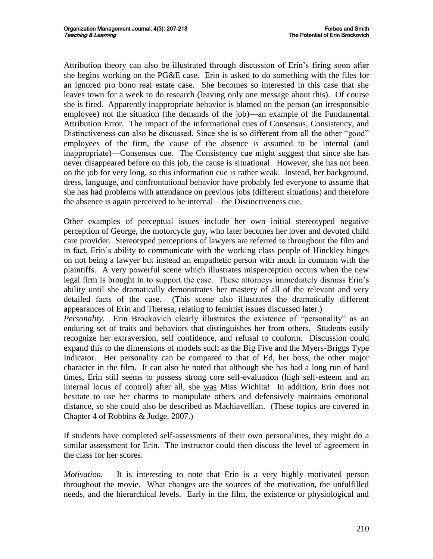Attribution theory can also be illustrated through discussion of Erin"s firing soon after she begins working on the PG&E case. Erin is asked to do something with the files for an ignored pro bono real estate case. She becomes so interested in this case that she leaves town for a week to do research (leaving only one message about this). Of course she is fired. Apparently inappropriate behavior is blamed on the person (an irresponsible employee) not the situation (the demands of the job)—an example of the Fundamental Attribution Error. The impact of the informational cues of Consensus, Consistency, and Distinctiveness can also be discussed. Since she is so different from all the other "good" employees of the firm, the cause of the absence is assumed to be internal (and inappropriate)—Consensus cue. The Consistency cue might suggest that since she has never disappeared before on this job, the cause is situational. However, she has not been on the job for very long, so this information cue is rather weak. Instead, her background, dress, language, and confrontational behavior have probably led everyone to assume that she has had problems with attendance on previous jobs (different situations) and therefore the absence is again perceived to be internal—the Distinctiveness cue.

Other examples of perceptual issues include her own initial stereotyped negative perception of George, the motorcycle guy, who later becomes her lover and devoted child care provider. Stereotyped perceptions of lawyers are referred to throughout the film and in fact, Erin's ability to communicate with the working class people of Hinckley hinges on not being a lawyer but instead an empathetic person with much in common with the plaintiffs. A very powerful scene which illustrates misperception occurs when the new legal firm is brought in to support the case. These attorneys immediately dismiss Erin's ability until she dramatically demonstrates her mastery of all of the relevant and very detailed facts of the case. (This scene also illustrates the dramatically different appearances of Erin and Theresa, relating to feminist issues discussed later.)

*Personality*. Erin Brockovich clearly illustrates the existence of "personality" as an enduring set of traits and behaviors that distinguishes her from others. Students easily recognize her extraversion, self confidence, and refusal to conform. Discussion could expand this to the dimensions of models such as the Big Five and the Myers-Briggs Type Indicator. Her personality can be compared to that of Ed, her boss, the other major character in the film. It can also be noted that although she has had a long run of hard times, Erin still seems to possess strong core self-evaluation (high self-esteem and an internal locus of control) after all, she was Miss Wichita! In addition, Erin does not hesitate to use her charms to manipulate others and defensively maintains emotional distance, so she could also be described as Machiavellian. (These topics are covered in Chapter 4 of Robbins & Judge, 2007.)

If students have completed self-assessments of their own personalities, they might do a similar assessment for Erin. The instructor could then discuss the level of agreement in the class for her scores.

*Motivation.* It is interesting to note that Erin is a very highly motivated person throughout the movie. What changes are the sources of the motivation, the unfulfilled needs, and the hierarchical levels. Early in the film, the existence or physiological and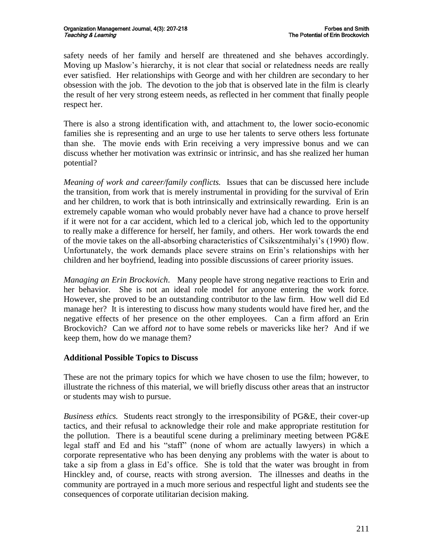safety needs of her family and herself are threatened and she behaves accordingly. Moving up Maslow"s hierarchy, it is not clear that social or relatedness needs are really ever satisfied. Her relationships with George and with her children are secondary to her obsession with the job. The devotion to the job that is observed late in the film is clearly the result of her very strong esteem needs, as reflected in her comment that finally people respect her.

There is also a strong identification with, and attachment to, the lower socio-economic families she is representing and an urge to use her talents to serve others less fortunate than she. The movie ends with Erin receiving a very impressive bonus and we can discuss whether her motivation was extrinsic or intrinsic, and has she realized her human potential?

*Meaning of work and career/family conflicts.* Issues that can be discussed here include the transition, from work that is merely instrumental in providing for the survival of Erin and her children, to work that is both intrinsically and extrinsically rewarding. Erin is an extremely capable woman who would probably never have had a chance to prove herself if it were not for a car accident, which led to a clerical job, which led to the opportunity to really make a difference for herself, her family, and others. Her work towards the end of the movie takes on the all-absorbing characteristics of Csikszentmihalyi"s (1990) flow. Unfortunately, the work demands place severe strains on Erin"s relationships with her children and her boyfriend, leading into possible discussions of career priority issues.

*Managing an Erin Brockovich*. Many people have strong negative reactions to Erin and her behavior. She is not an ideal role model for anyone entering the work force. However, she proved to be an outstanding contributor to the law firm. How well did Ed manage her? It is interesting to discuss how many students would have fired her, and the negative effects of her presence on the other employees. Can a firm afford an Erin Brockovich? Can we afford *not* to have some rebels or mavericks like her? And if we keep them, how do we manage them?

# **Additional Possible Topics to Discuss**

These are not the primary topics for which we have chosen to use the film; however, to illustrate the richness of this material, we will briefly discuss other areas that an instructor or students may wish to pursue.

*Business ethics.* Students react strongly to the irresponsibility of PG&E, their cover-up tactics, and their refusal to acknowledge their role and make appropriate restitution for the pollution. There is a beautiful scene during a preliminary meeting between PG&E legal staff and Ed and his "staff" (none of whom are actually lawyers) in which a corporate representative who has been denying any problems with the water is about to take a sip from a glass in Ed"s office. She is told that the water was brought in from Hinckley and, of course, reacts with strong aversion. The illnesses and deaths in the community are portrayed in a much more serious and respectful light and students see the consequences of corporate utilitarian decision making.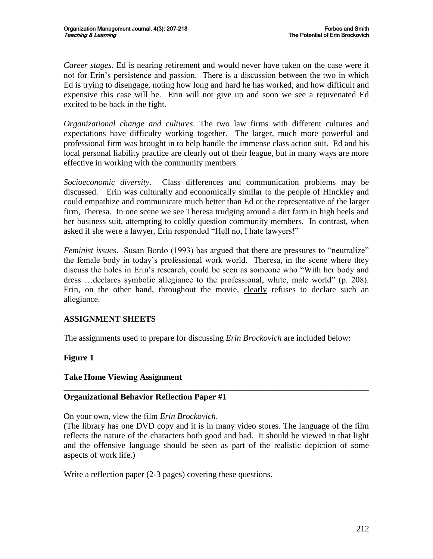*Career stages*. Ed is nearing retirement and would never have taken on the case were it not for Erin"s persistence and passion. There is a discussion between the two in which Ed is trying to disengage, noting how long and hard he has worked, and how difficult and expensive this case will be. Erin will not give up and soon we see a rejuvenated Ed excited to be back in the fight.

*Organizational change and cultures*. The two law firms with different cultures and expectations have difficulty working together. The larger, much more powerful and professional firm was brought in to help handle the immense class action suit. Ed and his local personal liability practice are clearly out of their league, but in many ways are more effective in working with the community members.

*Socioeconomic diversity*. Class differences and communication problems may be discussed. Erin was culturally and economically similar to the people of Hinckley and could empathize and communicate much better than Ed or the representative of the larger firm, Theresa. In one scene we see Theresa trudging around a dirt farm in high heels and her business suit, attempting to coldly question community members. In contrast, when asked if she were a lawyer, Erin responded "Hell no, I hate lawyers!"

*Feminist issues*. Susan Bordo (1993) has argued that there are pressures to "neutralize" the female body in today"s professional work world. Theresa, in the scene where they discuss the holes in Erin"s research, could be seen as someone who "With her body and dress …declares symbolic allegiance to the professional, white, male world" (p. 208). Erin, on the other hand, throughout the movie, clearly refuses to declare such an allegiance.

# **ASSIGNMENT SHEETS**

The assignments used to prepare for discussing *Erin Brockovich* are included below:

# **Figure 1**

#### **Take Home Viewing Assignment**

#### **Organizational Behavior Reflection Paper #1**

#### On your own, view the film *Erin Brockovich*.

(The library has one DVD copy and it is in many video stores. The language of the film reflects the nature of the characters both good and bad. It should be viewed in that light and the offensive language should be seen as part of the realistic depiction of some aspects of work life.)

**\_\_\_\_\_\_\_\_\_\_\_\_\_\_\_\_\_\_\_\_\_\_\_\_\_\_\_\_\_\_\_\_\_\_\_\_\_\_\_\_\_\_\_\_\_\_\_\_\_\_\_\_\_\_\_\_\_\_\_\_\_\_\_\_\_\_\_\_\_\_\_\_**

Write a reflection paper (2-3 pages) covering these questions.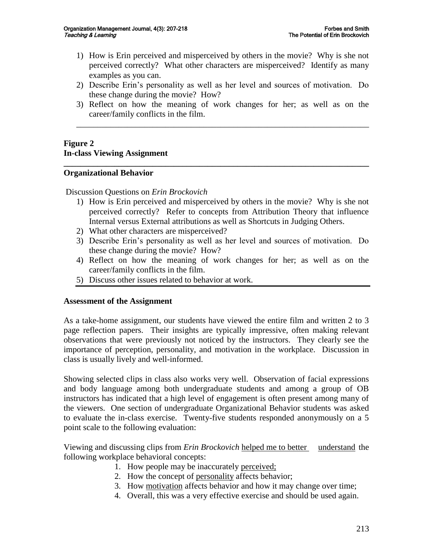- 1) How is Erin perceived and misperceived by others in the movie? Why is she not perceived correctly? What other characters are misperceived? Identify as many examples as you can.
- 2) Describe Erin"s personality as well as her level and sources of motivation. Do these change during the movie? How?
- 3) Reflect on how the meaning of work changes for her; as well as on the career/family conflicts in the film.

\_\_\_\_\_\_\_\_\_\_\_\_\_\_\_\_\_\_\_\_\_\_\_\_\_\_\_\_\_\_\_\_\_\_\_\_\_\_\_\_\_\_\_\_\_\_\_\_\_\_\_\_\_\_\_\_\_\_\_\_\_\_\_\_\_\_\_\_\_

**\_\_\_\_\_\_\_\_\_\_\_\_\_\_\_\_\_\_\_\_\_\_\_\_\_\_\_\_\_\_\_\_\_\_\_\_\_\_\_\_\_\_\_\_\_\_\_\_\_\_\_\_\_\_\_\_\_\_\_\_\_\_\_\_\_\_\_\_\_\_\_\_**

# **Figure 2 In-class Viewing Assignment**

#### **Organizational Behavior**

#### Discussion Questions on *Erin Brockovich*

- 1) How is Erin perceived and misperceived by others in the movie? Why is she not perceived correctly? Refer to concepts from Attribution Theory that influence Internal versus External attributions as well as Shortcuts in Judging Others.
- 2) What other characters are misperceived?
- 3) Describe Erin"s personality as well as her level and sources of motivation. Do these change during the movie? How?
- 4) Reflect on how the meaning of work changes for her; as well as on the career/family conflicts in the film.
- 5) Discuss other issues related to behavior at work.

#### **Assessment of the Assignment**

As a take-home assignment, our students have viewed the entire film and written 2 to 3 page reflection papers. Their insights are typically impressive, often making relevant observations that were previously not noticed by the instructors. They clearly see the importance of perception, personality, and motivation in the workplace. Discussion in class is usually lively and well-informed.

Showing selected clips in class also works very well. Observation of facial expressions and body language among both undergraduate students and among a group of OB instructors has indicated that a high level of engagement is often present among many of the viewers. One section of undergraduate Organizational Behavior students was asked to evaluate the in-class exercise. Twenty-five students responded anonymously on a 5 point scale to the following evaluation:

Viewing and discussing clips from *Erin Brockovich* helped me to better understand the following workplace behavioral concepts:

- 1. How people may be inaccurately perceived;
- 2. How the concept of personality affects behavior;
- 3. How motivation affects behavior and how it may change over time;
- 4. Overall, this was a very effective exercise and should be used again.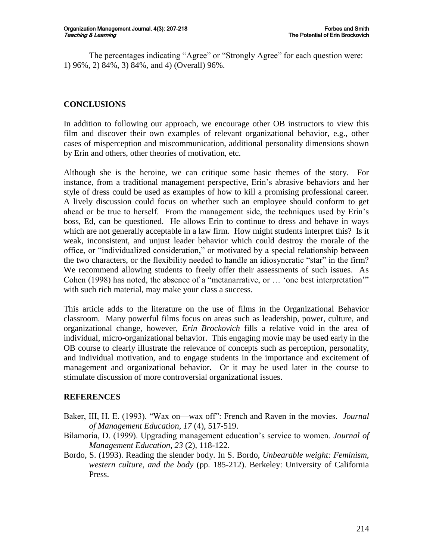The percentages indicating "Agree" or "Strongly Agree" for each question were: 1) 96%, 2) 84%, 3) 84%, and 4) (Overall) 96%.

# **CONCLUSIONS**

In addition to following our approach, we encourage other OB instructors to view this film and discover their own examples of relevant organizational behavior, e.g., other cases of misperception and miscommunication, additional personality dimensions shown by Erin and others, other theories of motivation, etc.

Although she is the heroine, we can critique some basic themes of the story. For instance, from a traditional management perspective, Erin"s abrasive behaviors and her style of dress could be used as examples of how to kill a promising professional career. A lively discussion could focus on whether such an employee should conform to get ahead or be true to herself. From the management side, the techniques used by Erin"s boss, Ed, can be questioned. He allows Erin to continue to dress and behave in ways which are not generally acceptable in a law firm. How might students interpret this? Is it weak, inconsistent, and unjust leader behavior which could destroy the morale of the office, or "individualized consideration," or motivated by a special relationship between the two characters, or the flexibility needed to handle an idiosyncratic "star" in the firm? We recommend allowing students to freely offer their assessments of such issues. As Cohen (1998) has noted, the absence of a "metanarrative, or … "one best interpretation"" with such rich material, may make your class a success.

This article adds to the literature on the use of films in the Organizational Behavior classroom*.* Many powerful films focus on areas such as leadership, power, culture, and organizational change, however, *Erin Brockovich* fills a relative void in the area of individual, micro-organizational behavior. This engaging movie may be used early in the OB course to clearly illustrate the relevance of concepts such as perception, personality, and individual motivation, and to engage students in the importance and excitement of management and organizational behavior. Or it may be used later in the course to stimulate discussion of more controversial organizational issues.

#### **REFERENCES**

- Baker, III, H. E. (1993). "Wax on—wax off": French and Raven in the movies. *Journal of Management Education, 17* (4), 517-519.
- Bilamoria, D. (1999). Upgrading management education"s service to women. *Journal of Management Education, 23* (2), 118-122.
- Bordo, S. (1993). Reading the slender body. In S. Bordo, *Unbearable weight: Feminism, western culture, and the body* (pp. 185-212). Berkeley: University of California Press.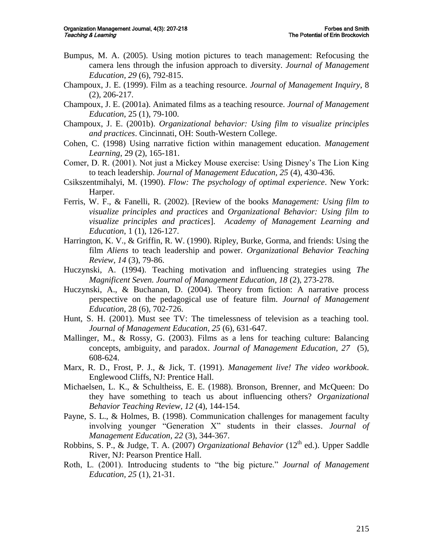- Bumpus, M. A. (2005). Using motion pictures to teach management: Refocusing the camera lens through the infusion approach to diversity. *Journal of Management Education, 29* (6), 792-815.
- Champoux, J. E. (1999). Film as a teaching resource. *Journal of Management Inquiry*, 8 (2), 206-217.
- Champoux, J. E. (2001a). Animated films as a teaching resource. *Journal of Management Education*, 25 (1), 79-100.
- Champoux, J. E. (2001b). *Organizational behavior: Using film to visualize principles and practices*. Cincinnati, OH: South-Western College.
- Cohen, C. (1998) Using narrative fiction within management education. *Management Learning*, 29 (2), 165-181.
- Comer, D. R. (2001). Not just a Mickey Mouse exercise: Using Disney"s The Lion King to teach leadership. *Journal of Management Education, 25* (4), 430-436.
- Csikszentmihalyi, M. (1990). *Flow: The psychology of optimal experience*. New York: Harper.
- Ferris, W. F., & Fanelli, R. (2002). [Review of the books *Management: Using film to visualize principles and practices* and *Organizational Behavior: Using film to visualize principles and practices*]. *Academy of Management Learning and Education*, 1 (1), 126-127.
- Harrington, K. V., & Griffin, R. W. (1990). Ripley, Burke, Gorma, and friends: Using the film *Aliens* to teach leadership and power. *Organizational Behavior Teaching Review, 14* (3), 79-86.
- Huczynski, A. (1994). Teaching motivation and influencing strategies using *The Magnificent Seven. Journal of Management Education, 18* (2), 273-278.
- Huczynski, A., & Buchanan, D. (2004). Theory from fiction: A narrative process perspective on the pedagogical use of feature film. *Journal of Management Education*, 28 (6), 702-726.
- Hunt, S. H. (2001). Must see TV: The timelessness of television as a teaching tool. *Journal of Management Education, 25* (6), 631-647.
- Mallinger, M., & Rossy, G. (2003). Films as a lens for teaching culture: Balancing concepts, ambiguity, and paradox. *Journal of Management Education, 27* (5), 608-624.
- Marx, R. D., Frost, P. J., & Jick, T. (1991). *Management live! The video workbook*. Englewood Cliffs, NJ: Prentice Hall.
- Michaelsen, L. K., & Schultheiss, E. E. (1988). Bronson, Brenner, and McQueen: Do they have something to teach us about influencing others? *Organizational Behavior Teaching Review, 12* (4), 144-154.
- Payne, S. L., & Holmes, B. (1998). Communication challenges for management faculty involving younger "Generation X" students in their classes. *Journal of Management Education, 22* (3), 344-367.
- Robbins, S. P., & Judge, T. A. (2007) *Organizational Behavior* (12<sup>th</sup> ed.). Upper Saddle River, NJ: Pearson Prentice Hall.
- Roth, L. (2001). Introducing students to "the big picture." *Journal of Management Education, 25* (1), 21-31.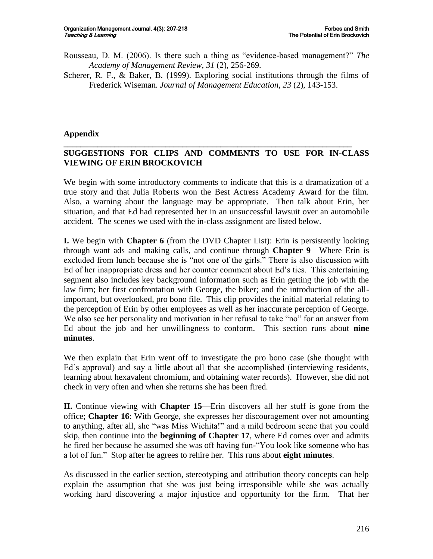- Rousseau, D. M. (2006). Is there such a thing as "evidence-based management?" *The Academy of Management Review, 31* (2), 256-269.
- Scherer, R. F., & Baker, B. (1999). Exploring social institutions through the films of Frederick Wiseman. *Journal of Management Education, 23* (2), 143-153.

#### **Appendix**

#### **\_\_\_\_\_\_\_\_\_\_\_\_\_\_\_\_\_\_\_\_\_\_\_\_\_\_\_\_\_\_\_\_\_\_\_\_\_\_\_\_\_\_\_\_\_\_\_\_\_\_\_\_\_\_\_\_\_\_\_\_\_\_\_\_\_\_\_\_ SUGGESTIONS FOR CLIPS AND COMMENTS TO USE FOR IN-CLASS VIEWING OF ERIN BROCKOVICH**

We begin with some introductory comments to indicate that this is a dramatization of a true story and that Julia Roberts won the Best Actress Academy Award for the film. Also, a warning about the language may be appropriate. Then talk about Erin, her situation, and that Ed had represented her in an unsuccessful lawsuit over an automobile accident. The scenes we used with the in-class assignment are listed below.

**I.** We begin with **Chapter 6** (from the DVD Chapter List): Erin is persistently looking through want ads and making calls, and continue through **Chapter 9**—Where Erin is excluded from lunch because she is "not one of the girls." There is also discussion with Ed of her inappropriate dress and her counter comment about Ed"s ties. This entertaining segment also includes key background information such as Erin getting the job with the law firm; her first confrontation with George, the biker; and the introduction of the allimportant, but overlooked, pro bono file. This clip provides the initial material relating to the perception of Erin by other employees as well as her inaccurate perception of George. We also see her personality and motivation in her refusal to take "no" for an answer from Ed about the job and her unwillingness to conform. This section runs about **nine minutes**.

We then explain that Erin went off to investigate the pro bono case (she thought with Ed's approval) and say a little about all that she accomplished (interviewing residents, learning about hexavalent chromium, and obtaining water records). However, she did not check in very often and when she returns she has been fired.

**II.** Continue viewing with **Chapter 15**—Erin discovers all her stuff is gone from the office; **Chapter 16**: With George, she expresses her discouragement over not amounting to anything, after all, she "was Miss Wichita!" and a mild bedroom scene that you could skip, then continue into the **beginning of Chapter 17**, where Ed comes over and admits he fired her because he assumed she was off having fun-"You look like someone who has a lot of fun." Stop after he agrees to rehire her. This runs about **eight minutes**.

As discussed in the earlier section, stereotyping and attribution theory concepts can help explain the assumption that she was just being irresponsible while she was actually working hard discovering a major injustice and opportunity for the firm. That her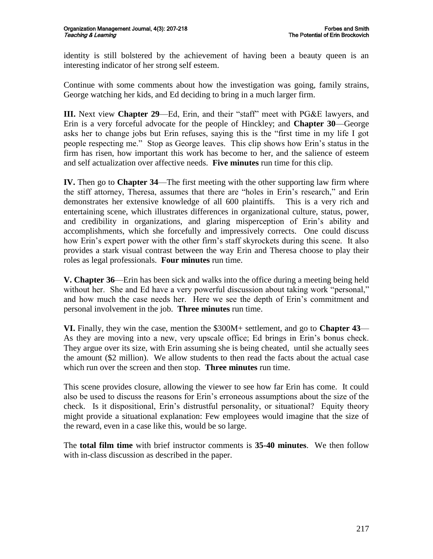identity is still bolstered by the achievement of having been a beauty queen is an interesting indicator of her strong self esteem.

Continue with some comments about how the investigation was going, family strains, George watching her kids, and Ed deciding to bring in a much larger firm.

**III.** Next view **Chapter 29**—Ed, Erin, and their "staff" meet with PG&E lawyers, and Erin is a very forceful advocate for the people of Hinckley; and **Chapter 30**—George asks her to change jobs but Erin refuses, saying this is the "first time in my life I got people respecting me." Stop as George leaves. This clip shows how Erin"s status in the firm has risen, how important this work has become to her, and the salience of esteem and self actualization over affective needs. **Five minutes** run time for this clip.

**IV.** Then go to **Chapter 34**—The first meeting with the other supporting law firm where the stiff attorney, Theresa, assumes that there are "holes in Erin"s research," and Erin demonstrates her extensive knowledge of all 600 plaintiffs. This is a very rich and entertaining scene, which illustrates differences in organizational culture, status, power, and credibility in organizations, and glaring misperception of Erin"s ability and accomplishments, which she forcefully and impressively corrects. One could discuss how Erin's expert power with the other firm's staff skyrockets during this scene. It also provides a stark visual contrast between the way Erin and Theresa choose to play their roles as legal professionals. **Four minutes** run time.

**V. Chapter 36**—Erin has been sick and walks into the office during a meeting being held without her. She and Ed have a very powerful discussion about taking work "personal," and how much the case needs her. Here we see the depth of Erin"s commitment and personal involvement in the job. **Three minutes** run time.

**VI.** Finally, they win the case, mention the \$300M+ settlement, and go to **Chapter 43**— As they are moving into a new, very upscale office; Ed brings in Erin"s bonus check. They argue over its size, with Erin assuming she is being cheated, until she actually sees the amount (\$2 million). We allow students to then read the facts about the actual case which run over the screen and then stop. **Three minutes** run time.

This scene provides closure, allowing the viewer to see how far Erin has come. It could also be used to discuss the reasons for Erin"s erroneous assumptions about the size of the check. Is it dispositional, Erin"s distrustful personality, or situational? Equity theory might provide a situational explanation: Few employees would imagine that the size of the reward, even in a case like this, would be so large.

The **total film time** with brief instructor comments is **35-40 minutes**. We then follow with in-class discussion as described in the paper.